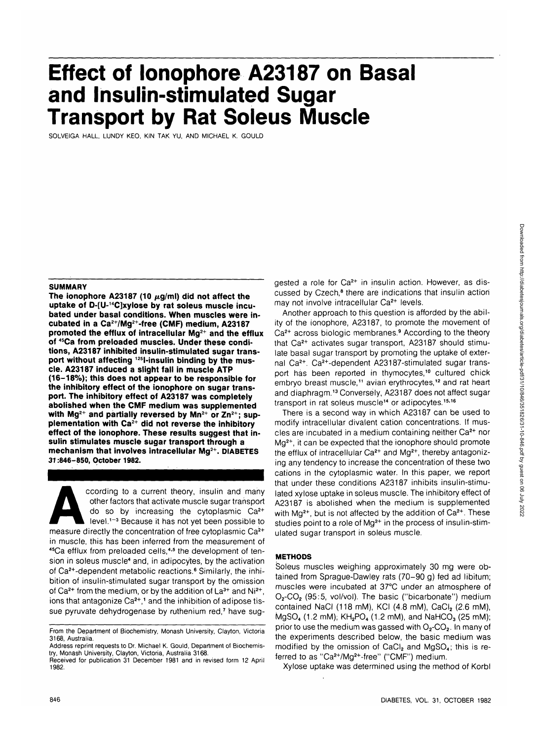# **Effect of lonophore A23187 on Basal and Insulin-stimulated Sugar Transport by Rat Soleus Muscle**

SOLVEIGA HALL, LUNDY KEO, KIN TAK YU, AND MICHAEL K. GOULD

#### **SUMMARY**

The ionophore A23187 (10  $\mu$ g/ml) did not affect the **uptake of D-[U-14C]xylose by rat soleus muscle incubated under basal conditions. When muscles were incubated in a Ca2+/Mg2+-free (CMF) medium, A23187 promoted the efflux of intracellular Mg2+ and the efflux of 45Ca from preloaded muscles. Under these conditions, A23187 inhibited insulin-stimulated sugar transport without affecting 12sl-insulin binding by the muscle. A23187 induced a slight fall in muscle ATP (16-18%); this does not appear to be responsible for the inhibitory effect of the ionophore on sugar transport. The inhibitory effect of A23187 was completely abolished when the CMF medium was supplemented with Mg2+ and partially reversed by Mn2+ or Zn2+; supplementation with Ca2+ did not reverse the inhibitory effect of the ionophore. These results suggest that insulin stimulates muscle sugar transport through a mechanism that involves intracellular Mg2+. DIABETES 37:846-850, October 1982.**

ccording to a current theory, insulin and many<br>other factors that activate muscle sugar transport<br>do so by increasing the cytoplasmic Ca<sup>2+</sup><br>level.<sup>1-3</sup> Because it has not yet been possible to<br>measure directly the concentr other factors that activate muscle sugar transport do so by increasing the cytoplasmic Ca2+ level.<sup>1-3</sup> Because it has not yet been possible to in muscle, this has been inferred from the measurement of 45Ca efflux from preloaded cells,<sup>4,5</sup> the development of tension in soleus muscle<sup>4</sup> and, in adipocytes, by the activation of Ca<sup>2+</sup>-dependent metabolic reactions.<sup>6</sup> Similarly, the inhibition of insulin-stimulated sugar transport by the omission of Ca<sup>2+</sup> from the medium, or by the addition of La<sup>3+</sup> and Ni<sup>2+</sup>, ions that antagonize Ca<sup>2+</sup>,<sup>1</sup> and the inhibition of adipose tissue pyruvate dehydrogenase by ruthenium red,<sup>7</sup> have suggested a role for Ca<sup>2+</sup> in insulin action. However, as discussed by Czech,<sup>8</sup> there are indications that insulin action may not involve intracellular Ca<sup>2+</sup> levels.

Another approach to this question is afforded by the ability of the ionophore, A23187, to promote the movement of Ca<sup>2+</sup> across biologic membranes.<sup>9</sup> According to the theory that Ca<sup>2+</sup> activates sugar transport, A23187 should stimulate basal sugar transport by promoting the uptake of external Ca<sup>2+</sup>. Ca<sup>2+</sup>-dependent A23187-stimulated sugar transport has been reported in thymocytes,<sup>10</sup> cultured chick embryo breast muscle,<sup>11</sup> avian erythrocytes,<sup>12</sup> and rat heart and diaphragm.<sup>13</sup> Conversely, A23187 does not affect sugar transport in rat soleus muscle<sup>14</sup> or adipocytes.<sup>15,16</sup>

There is a second way in which A23187 can be used to modify intracellular divalent cation concentrations. If muscles are incubated in a medium containing neither Ca<sup>2+</sup> nor Mg<sup>2+</sup>, it can be expected that the ionophore should promote the efflux of intracellular Ca<sup>2+</sup> and Mg<sup>2+</sup>, thereby antagonizing any tendency to increase the concentration of these two cations in the cytoplasmic water. In this paper, we report that under these conditions A23187 inhibits insulin-stimulated xylose uptake in soleus muscle. The inhibitory effect of A23187 is abolished when the medium is supplemented with Mg<sup>2+</sup>, but is not affected by the addition of Ca<sup>2+</sup>. These studies point to a role of Mg<sup>2+</sup> in the process of insulin-stimulated sugar transport in soleus muscle.

### **METHODS**

Soleus muscles weighing approximately 30 mg were obtained from Sprague-Dawley rats (70-90 g) fed ad libitum; muscles were incubated at 37°C under an atmosphere of  $O_2$ -CO<sub>2</sub> (95:5, vol/vol). The basic ("bicarbonate") medium contained NaCI (118 mM), KCI (4.8 mM), CaCI<sub>2</sub> (2.6 mM),  $MgSO_4$  (1.2 mM), KH<sub>2</sub>PO<sub>4</sub> (1.2 mM), and NaHCO<sub>3</sub> (25 mM); prior to use the medium was gassed with  $O_2$ -CO<sub>2</sub>. In many of the experiments described below, the basic medium was modified by the omission of  $CaCl<sub>2</sub>$  and  $MgSO<sub>4</sub>$ ; this is referred to as "Ca<sup>2+</sup>/Mg<sup>2+</sup>-free" ("CMF") medium.

Xylose uptake was determined using the method of Korbl

From the Department of Biochemistry, Monash University, Clayton, Victoria 3168, Australia.

Address reprint requests to Dr. Michael K. Gould, Department of Biochemistry, Monash University, Clayton, Victoria, Australia 3168.

Received for publication 31 December 1981 and in revised form 12 April 1982.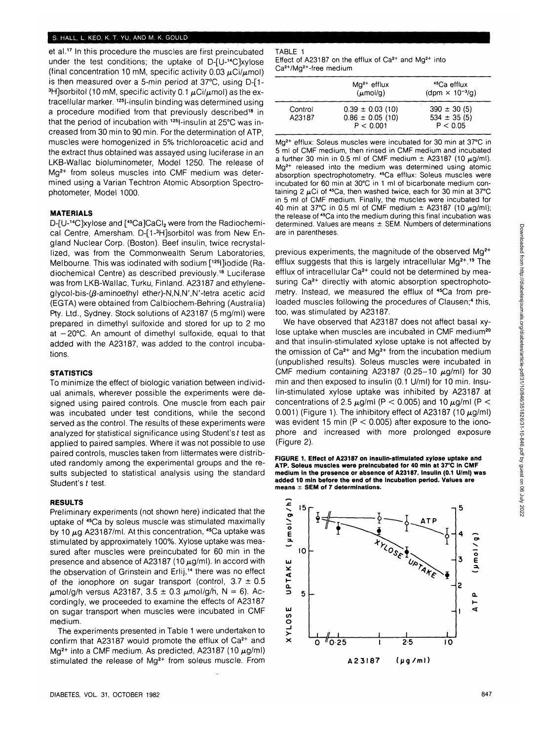### **S. HALL, L. KEO, K. T. YU, AND M. K. GOULD**

et al.<sup>17</sup> In this procedure the muscles are first preincubated under the test conditions; the uptake of D-[U-14C]xylose (final concentration 10 mM, specific activity  $0.03 \mu$ Ci/ $\mu$ mol) is then measured over a 5-min period at 37°C, using D-[1- <sup>3</sup>H]sorbitol (10 mM, specific activity 0.1  $\mu$ Ci/ $\mu$ mol) as the extracellular marker. <sup>125</sup>l-insulin binding was determined using a procedure modified from that previously described<sup>18</sup> in that the period of incubation with <sup>125</sup>l-insulin at 25°C was increased from 30 min to 90 min. For the determination of ATP, muscles were homogenized in 5% trichloroacetic acid and the extract thus obtained was assayed using luciferase in an LKB-Wallac bioluminometer, Model 1250. The release of Mg<sup>2+</sup> from soleus muscles into CMF medium was determined using a Varian Techtron Atomic Absorption Spectrophotometer, Model 1000.

# **MATERIALS**

D-[U-<sup>14</sup>C]xylose and [<sup>45</sup>Ca]CaCl<sub>2</sub> were from the Radiochemical Centre, Amersham. D-[1-<sup>3</sup>H]sorbitol was from New England Nuclear Corp. (Boston). Beef insulin, twice recrystallized, was from the Commonwealth Serum Laboratories, Melbourne. This was iodinated with sodium [125l]iodide (Radiochemical Centre) as described previously.18 Luciferase was from LKB-Wallac, Turku, Finland. A23187 and ethyleneglycol-bis- $(β$ -aminoethyl ether)-N,N,N',N'-tetra acetic acid (EGTA) were obtained from Calbiochem-Behring (Australia) Pty. Ltd., Sydney. Stock solutions of A23187 (5 mg/ml) were prepared in dimethyl sulfoxide and stored for up to 2 mo at  $-20^{\circ}$ C. An amount of dimethyl sulfoxide, equal to that added with the A23187, was added to the control incubations.

#### **STATISTICS**

To minimize the effect of biologic variation between individual animals, wherever possible the experiments were designed using paired controls. One muscle from each pair was incubated under test conditions, while the second served as the control. The results of these experiments were analyzed for statistical significance using Student's t test as applied to paired samples. Where it was not possible to use paired controls, muscles taken from littermates were distributed randomly among the experimental groups and the results subjected to statistical analysis using the standard Student's t test.

# **RESULTS**

Preliminary experiments (not shown here) indicated that the uptake of 45Ca by soleus muscle was stimulated maximally by 10  $\mu$ g A23187/ml. At this concentration, <sup>45</sup>Ca uptake was stimulated by approximately 100%. Xylose uptake was measured after muscles were preincubated for 60 min in the presence and absence of A23187 (10  $\mu$ g/ml). In accord with the observation of Grinstein and Erlij,<sup>14</sup> there was no effect of the ionophore on sugar transport (control,  $3.7 \pm 0.5$  $\mu$ mol/g/h versus A23187, 3.5 ± 0.3  $\mu$ mol/g/h, N = 6). Accordingly, we proceeded to examine the effects of A23187 on sugar transport when muscles were incubated in CMF medium.

The experiments presented in Table 1 were undertaken to confirm that A23187 would promote the efflux of Ca<sup>2+</sup> and Mg<sup>2+</sup> into a CMF medium. As predicted, A23187 (10  $\mu$ g/ml) stimulated the release of Mg<sup>2+</sup> from soleus muscle. From

## **DIABETES, VOL. 31, OCTOBER 1982 847**

# TABLE 1

Effect of A23187 on the efflux of Ca<sup>2+</sup> and Mg<sup>2+</sup> into Ca2+/Mg2+-free medium

|                   | $Mq^{2+}$ efflux<br>$(\mu \text{mol/g})$                  | <sup>45</sup> Ca efflux<br>(dpm $\times$ 10 <sup>-3</sup> /g) |
|-------------------|-----------------------------------------------------------|---------------------------------------------------------------|
| Control<br>A23187 | $0.39 \pm 0.03$ (10)<br>$0.86 \pm 0.05$ (10)<br>P < 0.001 | $390 \pm 30(5)$<br>$534 \pm 35(5)$<br>P < 0.05                |

Mg<sup>2+</sup> efflux: Soleus muscles were incubated for 30 min at 37°C in 5 ml of CMF medium, then rinsed in CMF medium and incubated a further 30 min in 0.5 ml of CMF medium  $\pm$  A23187 (10  $\mu$ g/ml). Mg<sup>2+</sup> released into the medium was determined using atomic absorption spectrophotometry. 45Ca efflux: Soleus muscles were incubated for 60 min at 30°C in 1 ml of bicarbonate medium containing 2  $\mu$ Ci of <sup>45</sup>Ca, then washed twice, each for 30 min at 37°C in 5 ml of CMF medium. Finally, the muscles were incubated for 40 min at 37°C in 0.5 ml of CMF medium  $\pm$  A23187 (10  $\mu$ g/ml); the release of 45Ca into the medium during this final incubation was determined. Values are means  $\pm$  SEM. Numbers of determinations are in parentheses.

previous experiments, the magnitude of the observed Mg<sup>2+</sup> efflux suggests that this is largely intracellular Mg<sup>2+</sup>.<sup>19</sup> The efflux of intracellular Ca<sup>2+</sup> could not be determined by measuring Ca<sup>2+</sup> directly with atomic absorption spectrophotometry. Instead, we measured the efflux of <sup>45</sup>Ca from preloaded muscles following the procedures of Clausen;<sup>4</sup> this, too, was stimulated by A23187.

We have observed that A23187 does not affect basal xylose uptake when muscles are incubated in CMF medium<sup>20</sup> and that insulin-stimulated xylose uptake is not affected by the omission of Ca<sup>2+</sup> and Mg<sup>2+</sup> from the incubation medium (unpublished results). Soleus muscles were incubated in CMF medium containing A23187 (0.25-10  $\mu$ g/ml) for 30 min and then exposed to insulin (0.1 U/ml) for 10 min. Insulin-stimulated xylose uptake was inhibited by A23187 at concentrations of 2.5  $\mu$ g/ml (P < 0.005) and 10  $\mu$ g/ml (P < 0.001) (Figure 1). The inhibitory effect of A23187 (10  $\mu$ g/ml) was evident 15 min ( $P < 0.005$ ) after exposure to the ionophore and increased with more prolonged exposure (Figure 2).



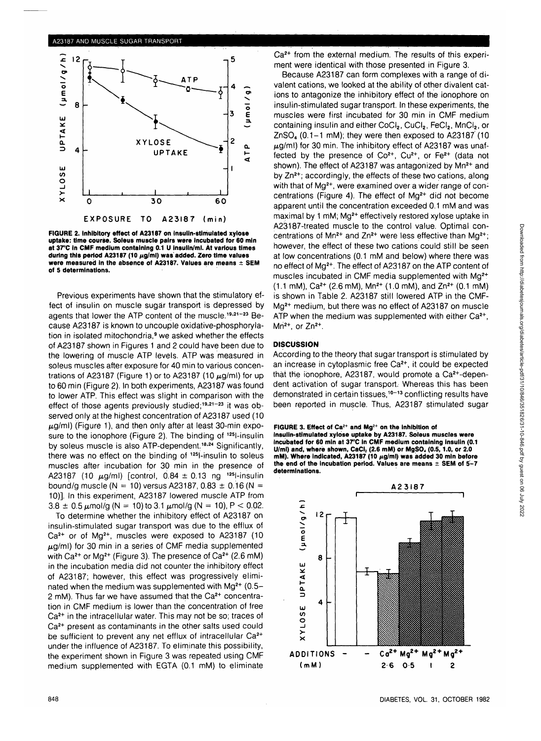

**FIGURE 2. Inhibitory effect of A23187 on insulin-stimulated xylose uptake: time course. Soleus muscle pairs were incubated for 60 min at 37°C In CMF medium containing 0.1 U insulin/ml. At various times** during this period A23187 (10 µg/ml) was added. Zero time values **were measured in the absence of A23187. Values are means ± SEM of 5 determinations.**

Previous experiments have shown that the stimulatory effect of insulin on muscle sugar transport is depressed by agents that lower the ATP content of the muscle.<sup>19,21-23</sup> Because A23187 is known to uncouple oxidative-phosphorylation in isolated mitochondria,<sup>9</sup> we asked whether the effects of A23187 shown in Figures 1 and 2 could have been due to the lowering of muscle ATP levels. ATP was measured in soleus muscles after exposure for 40 min to various concentrations of A23187 (Figure 1) or to A23187 (10  $\mu$ g/ml) for up to 60 min (Figure 2). In both experiments, A23187 was found to lower ATP. This effect was slight in comparison with the effect of those agents previously studied;<sup>19,21-23</sup> it was observed only at the highest concentration of A23187 used (10  $\mu$ g/ml) (Figure 1), and then only after at least 30-min exposure to the ionophore (Figure 2). The binding of <sup>125</sup>l-insulin by soleus muscle is also ATP-dependent.<sup>18,24</sup> Significantly, there was no effect on the binding of <sup>125</sup>l-insulin to soleus muscles after incubation for 30 min in the presence of A23187 (10  $\mu$ g/ml) [control, 0.84  $\pm$  0.13 ng <sup>125</sup>l-insulin bound/g muscle (N = 10) versus A23187,  $0.83 \pm 0.16$  (N = 10)]. In this experiment, A23187 lowered muscle ATP from  $3.8 \pm 0.5 \mu$ mol/g (N = 10) to 3.1  $\mu$ mol/g (N = 10), P < 0.02.

To determine whether the inhibitory effect of A23187 on insulin-stimulated sugar transport was due to the efflux of Ca<sup>2+</sup> or of Mg<sup>2+</sup>, muscles were exposed to A23187 (10  $\mu$ g/ml) for 30 min in a series of CMF media supplemented with  $Ca^{2+}$  or Mg<sup>2+</sup> (Figure 3). The presence of  $Ca^{2+}$  (2.6 mM) in the incubation media did not counter the inhibitory effect of A23187; however, this effect was progressively eliminated when the medium was supplemented with  $Mg^{2+}$  (0.5-2 mM). Thus far we have assumed that the Ca<sup>2+</sup> concentration in CMF medium is lower than the concentration of free Ca<sup>2+</sup> in the intracellular water. This may not be so; traces of Ca<sup>2+</sup> present as contaminants in the other salts used could be sufficient to prevent any net efflux of intracellular Ca<sup>2+</sup> under the influence of A23187. To eliminate this possibility, the experiment shown in Figure 3 was repeated using CMF medium supplemented with EGTA (0.1 mM) to eliminate

Ca<sup>2+</sup> from the external medium. The results of this experiment were identical with those presented in Figure 3.

Because A23187 can form complexes with a range of divalent cations, we looked at the ability of other divalent cations to antagonize the inhibitory effect of the ionophore on insulin-stimulated sugar transport. In these experiments, the muscles were first incubated for 30 min in CMF medium containing insulin and either CoCl<sub>2</sub>, CuCl<sub>2</sub>, FeCl<sub>2</sub>, MnCl<sub>2</sub>, or  $ZnSO<sub>4</sub>$  (0.1-1 mM); they were then exposed to A23187<sup>'</sup> (10)  $\mu$ g/ml) for 30 min. The inhibitory effect of A23187 was unaffected by the presence of  $Co^{2+}$ ,  $Cu^{2+}$ , or  $Fe^{2+}$  (data not shown). The effect of A23187 was antagonized by Mn<sup>2+</sup> and by  $Zn^{2+}$ ; accordingly, the effects of these two cations, along with that of Mg<sup>2+</sup>, were examined over a wider range of concentrations (Figure 4). The effect of Mg<sup>2+</sup> did not become apparent until the concentration exceeded 0.1 mM and was maximal by 1 mM; Mg<sup>2+</sup> effectively restored xylose uptake in A23187-treated muscle to the control value. Optimal concentrations of Mn<sup>2+</sup> and Zn<sup>2+</sup> were less effective than Mg<sup>2+</sup>; however, the effect of these two cations could still be seen at low concentrations (0.1 mM and below) where there was no effect of Mg2+. The effect of A23187 on the ATP content of muscles incubated in CMF media supplemented with Mg<sup>2+</sup>  $(1.1 \text{ mM})$ , Ca<sup>2+</sup> (2.6 mM), Mn<sup>2+</sup> (1.0 mM), and Zn<sup>2+</sup> (0.1 mM) is shown in Table 2. A23187 still lowered ATP in the CMF-Mg<sup>2+</sup> medium, but there was no effect of A23187 on muscle ATP when the medium was supplemented with either  $Ca<sup>2+</sup>$ , Mn<sup>2+</sup>, or  $Zn^{2+}$ .

# **DISCUSSION**

According to the theory that sugar transport is stimulated by an increase in cytoplasmic free Ca<sup>2+</sup>, it could be expected that the ionophore, A23187, would promote a Ca2+-dependent activation of sugar transport. Whereas this has been demonstrated in certain tissues,<sup>10-13</sup> conflicting results have been reported in muscle. Thus, A23187 stimulated sugar

**FIGURE 3. Effect of Ca2+ and Mg2+ on the inhibition of insulin-stimulated xylose uptake by A23187. Soleus muscles were Incubated for 60 min at 37°C in CMF medium containing Insulin (0.1** U/ml) and, where shown, CaCl<sub>2</sub> (2.6 mM) or MgSO<sub>4</sub> (0.5, 1.0, or 2.0 mM). Where indicated, A23187 (10  $\mu$ g/ml) was added 30 min before **the end of the incubation period. Values are means ± SEM of 5-7 determinations.**

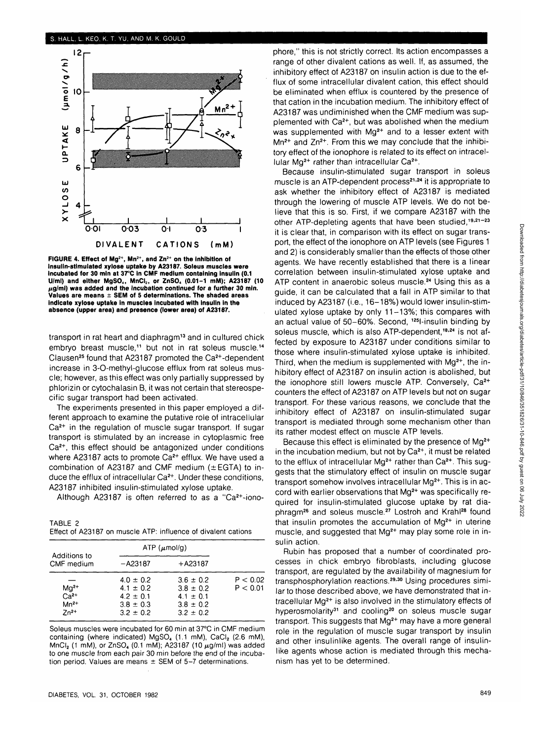#### **S. HALL. L. KEO, K. T. YU, AND M. K. GOULD**



**FIGURE 4. Effect of Mg2+, Mn2+, and Zn2+ on the inhibition of insulin-stimulated xylose uptake by A23187. Soleus muscles were incubated for 30 min at 37°C in CMF medium containing insulin (0.1** U/ml) and either MgSO<sub>4</sub>, MnCl<sub>2</sub>, or ZnSO<sub>4</sub> (0.01-1 mM); A23187 (10 **(iglm\) was added and the incubation continued for a further 30 min. Values are means ± SEM of 5 determinations. The shaded areas Indicate xylose uptake in muscles incubated with insulin in the absence (upper area) and presence (lower area) of A23187.**

transport in rat heart and diaphragm<sup>13</sup> and in cultured chick embryo breast muscle,<sup>11</sup> but not in rat soleus muscle.<sup>14</sup> Clausen<sup>25</sup> found that A23187 promoted the Ca<sup>2+</sup>-dependent increase in 3-O-methyl-glucose efflux from rat soleus muscle; however, as this effect was only partially suppressed by phlorizin or cytochalasin B, it was not certain that stereospecific sugar transport had been activated.

The experiments presented in this paper employed a different approach to examine the putative role of intracellular Ca<sup>2+</sup> in the regulation of muscle sugar transport. If sugar transport is stimulated by an increase in cytoplasmic free Ca<sup>2+</sup>, this effect should be antagonized under conditions where A23187 acts to promote Ca<sup>2+</sup> efflux. We have used a combination of A23187 and CMF medium ( $\pm$ EGTA) to induce the efflux of intracellular Ca<sup>2+</sup>. Under these conditions, A23187 inhibited insulin-stimulated xylose uptake.

Although A23187 is often referred to as a "Ca2+-iono-

| TABLE 2 |                                                               |
|---------|---------------------------------------------------------------|
|         | Effect of A23187 on muscle ATP: influence of divalent cations |

| Additions to<br>CMF medium                    |                                                                                   | $ATP$ ( $\mu$ mol/g)                                                              |                      |
|-----------------------------------------------|-----------------------------------------------------------------------------------|-----------------------------------------------------------------------------------|----------------------|
|                                               | $-A23187$                                                                         | $+ A23187$                                                                        |                      |
| $Mg^{2+}$<br>$Ca2+$<br>$Mn^{2+}$<br>$7n^{2+}$ | $4.0 \pm 0.2$<br>$4.1 \pm 0.2$<br>$4.2 \pm 0.1$<br>$3.8 \pm 0.3$<br>$3.2 \pm 0.2$ | $3.6 \pm 0.2$<br>$3.8 \pm 0.2$<br>$4.1 \pm 0.1$<br>$3.8 \pm 0.2$<br>$3.2 \pm 0.2$ | P < 0.02<br>P < 0.01 |

Soleus muscles were incubated for 60 min at 37°C in CMF medium containing (where indicated)  $MgSO<sub>4</sub>$  (1.1 mM),  $CaCl<sub>2</sub>$  (2.6 mM),  $MnCl<sub>2</sub>$  (1 mM), or ZnSO<sub>4</sub> (0.1 mM); A23187 (10  $\mu$ g/ml) was added to one muscle from each pair 30 min before the end of the incubation period. Values are means  $\pm$  SEM of 5-7 determinations.

phore," this is not strictly correct. Its action encompasses a range of other divalent cations as well. If, as assumed, the inhibitory effect of A23187 on insulin action is due to the efflux of some intracellular divalent cation, this effect should be eliminated when efflux is countered by the presence of that cation in the incubation medium. The inhibitory effect of A23187 was undiminished when the CMF medium was supplemented with Ca<sup>2+</sup>, but was abolished when the medium was supplemented with Ma<sup>2+</sup> and to a lesser extent with  $Mn^{2+}$  and  $Zn^{2+}$ . From this we may conclude that the inhibitory effect of the ionophore is related to its effect on intracellular M $\alpha^{2+}$  rather than intracellular  $Ca^{2+}$ .

Because insulin-stimulated sugar transport in soleus muscle is an ATP-dependent process<sup>21,24</sup> it is appropriate to ask whether the inhibitory effect of A23187 is mediated through the lowering of muscle ATP levels. We do not believe that this is so. First, if we compare A23187 with the other ATP-depleting agents that have been studied,<sup>19,21-23</sup> it is clear that, in comparison with its effect on sugar transport, the effect of the ionophore on ATP levels (see Figures 1 and 2) is considerably smaller than the effects of those other agents. We have recently established that there is a linear correlation between insulin-stimulated xylose uptake and ATP content in anaerobic soleus muscle.<sup>24</sup> Using this as a guide, it can be calculated that a fall in ATP similar to that induced by A23187 (i.e., 16-18%) would lower insulin-stimulated xylose uptake by only 11-13%; this compares with an actual value of 50-60%. Second, 125l-insulin binding by soleus muscle, which is also ATP-dependent <sup>18,24</sup> is not affected by exposure to A23187 under conditions similar to those where insulin-stimulated xylose uptake is inhibited. Third, when the medium is supplemented with Mg<sup>2+</sup>, the inhibitory effect of A23187 on insulin action is abolished, but the ionophore still lowers muscle ATP. Conversely, Ca<sup>2+</sup> counters the effect of A23187 on ATP levels but not on sugar transport. For these various reasons, we conclude that the inhibitory effect of A23187 on insulin-stimulated sugar transport is mediated through some mechanism other than its rather modest effect on muscle ATP levels.

Because this effect is eliminated by the presence of Mg<sup>2+</sup> in the incubation medium, but not by  $Ca<sup>2+</sup>$ , it must be related to the efflux of intracellular Mg<sup>2+</sup> rather than Ca<sup>2+</sup>. This suggests that the stimulatory effect of insulin on muscle sugar transport somehow involves intracellular Mg<sup>2+</sup>. This is in accord with earlier observations that Mq<sup>2+</sup> was specifically required for insulin-stimulated glucose uptake by rat diaphragm<sup>26</sup> and soleus muscle.<sup>27</sup> Lostroh and Krahl<sup>28</sup> found .<br>that insulin promotes the accumulation of Mg<sup>2+</sup> in uterine muscle, and suggested that Mg<sup>2+</sup> may play some role in insulin action.

Rubin has proposed that a number of coordinated processes in chick embryo fibroblasts, including glucose transport, are regulated by the availability of magnesium for transphosphorylation reactions.<sup>29,30</sup> Using procedures similar to those described above, we have demonstrated that intracellular Mg<sup>2+</sup> is also involved in the stimulatory effects of hyperosmolarity<sup>31</sup> and cooling<sup>20</sup> on soleus muscle sugar transport. This suggests that Mg<sup>2+</sup> may have a more general role in the regulation of muscle sugar transport by insulin and other insulinlike agents. The overall range of insulinlike agents whose action is mediated through this mechanism has yet to be determined.